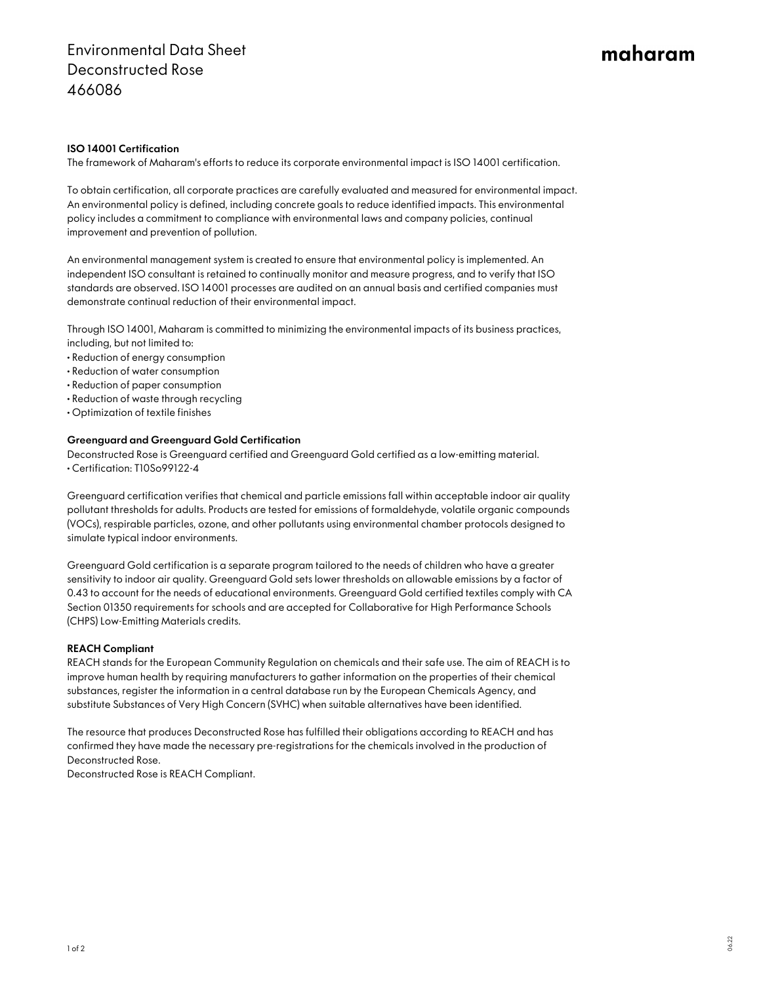# maharam

## ISO 14001 Certification

The framework of Maharam's efforts to reduce its corporate environmental impact is ISO 14001 certification.

To obtain certification, all corporate practices are carefully evaluated and measured for environmental impact. An environmental policy is defined, including concrete goals to reduce identified impacts. This environmental policy includes a commitment to compliance with environmental laws and company policies, continual improvement and prevention of pollution.

An environmental management system is created to ensure that environmental policy is implemented. An independent ISO consultant is retained to continually monitor and measure progress, and to verify that ISO standards are observed. ISO 14001 processes are audited on an annual basis and certified companies must demonstrate continual reduction of their environmental impact.

Through ISO 14001, Maharam is committed to minimizing the environmental impacts of its business practices, including, but not limited to:

- Reduction of energy consumption
- Reduction of water consumption
- Reduction of paper consumption
- Reduction of waste through recycling
- Optimization of textile finishes

#### Greenguard and Greenguard Gold Certification

Deconstructed Rose is Greenguard certified and Greenguard Gold certified as a low-emitting material. • Certification: T10So99122-4

Greenguard certification verifies that chemical and particle emissions fall within acceptable indoor air quality pollutant thresholds for adults. Products are tested for emissions of formaldehyde, volatile organic compounds (VOCs), respirable particles, ozone, and other pollutants using environmental chamber protocols designed to simulate typical indoor environments.

Greenguard Gold certification is a separate program tailored to the needs of children who have a greater sensitivity to indoor air quality. Greenguard Gold sets lower thresholds on allowable emissions by a factor of 0.43 to account for the needs of educational environments. Greenguard Gold certified textiles comply with CA Section 01350 requirements for schools and are accepted for Collaborative for High Performance Schools (CHPS) Low-Emitting Materials credits.

#### REACH Compliant

REACH stands for the European Community Regulation on chemicals and their safe use. The aim of REACH is to improve human health by requiring manufacturers to gather information on the properties of their chemical substances, register the information in a central database run by the European Chemicals Agency, and substitute Substances of Very High Concern (SVHC) when suitable alternatives have been identified.

The resource that produces Deconstructed Rose has fulfilled their obligations according to REACH and has confirmed they have made the necessary pre-registrations for the chemicals involved in the production of Deconstructed Rose.

Deconstructed Rose is REACH Compliant.